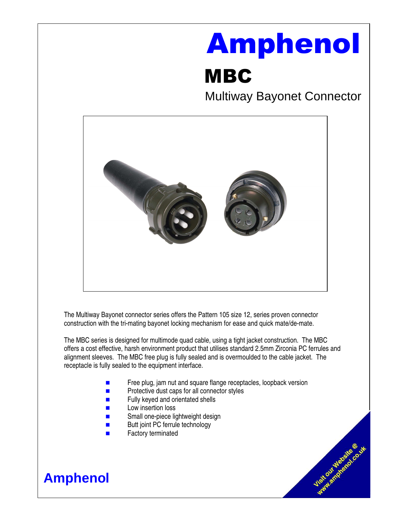# Amphenol

## MBC

Multiway Bayonet Connector

Vietnample of Co.W



The Multiway Bayonet connector series offers the Pattern 105 size 12, series proven connector construction with the tri-mating bayonet locking mechanism for ease and quick mate/de-mate.

The MBC series is designed for multimode quad cable, using a tight jacket construction. The MBC offers a cost effective, harsh environment product that utilises standard 2.5mm Zirconia PC ferrules and alignment sleeves. The MBC free plug is fully sealed and is overmoulded to the cable jacket. The receptacle is fully sealed to the equipment interface.

- Free plug, jam nut and square flange receptacles, loopback version
- $\blacksquare$  Protective dust caps for all connector styles
- **Fully keyed and orientated shells**
- **Low insertion loss**
- **Example 12** Small one-piece lightweight design
- **Butt joint PC ferrule technology**
- Factory terminated

### **Amphenol**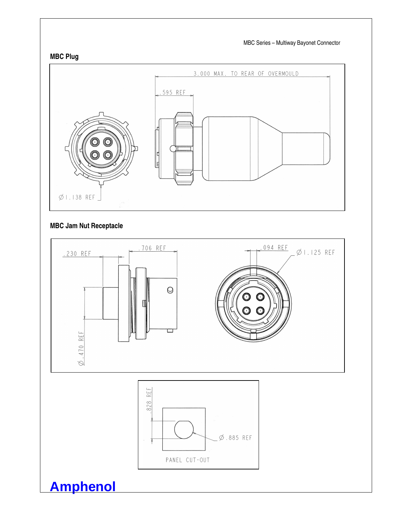

#### **MBC Jam Nut Receptacle**

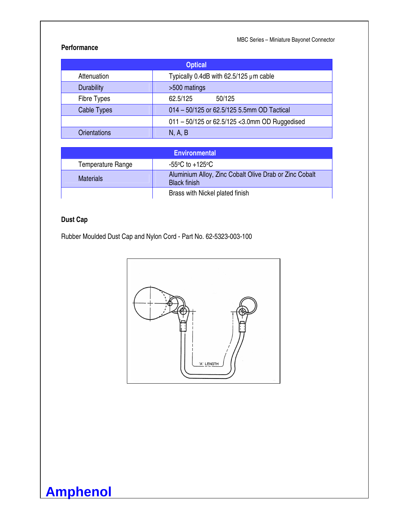MBC Series – Miniature Bayonet Connector

#### **Performance**

| <b>Optical</b>      |                                                |
|---------------------|------------------------------------------------|
| Attenuation         | Typically 0.4dB with $62.5/125 \mu m$ cable    |
| <b>Durability</b>   | >500 matings                                   |
| <b>Fibre Types</b>  | 62.5/125<br>50/125                             |
| Cable Types         | 014 - 50/125 or 62.5/125 5.5mm OD Tactical     |
|                     | 011 - 50/125 or 62.5/125 < 3.0mm OD Ruggedised |
| <b>Orientations</b> | N, A, B                                        |

| <b>Environmental</b> |                                                                               |
|----------------------|-------------------------------------------------------------------------------|
| Temperature Range    | $-55^{\circ}$ C to $+125^{\circ}$ C                                           |
| <b>Materials</b>     | Aluminium Alloy, Zinc Cobalt Olive Drab or Zinc Cobalt<br><b>Black finish</b> |
|                      | Brass with Nickel plated finish                                               |

#### **Dust Cap**

**Amphenol**

Rubber Moulded Dust Cap and Nylon Cord - Part No. 62-5323-003-100